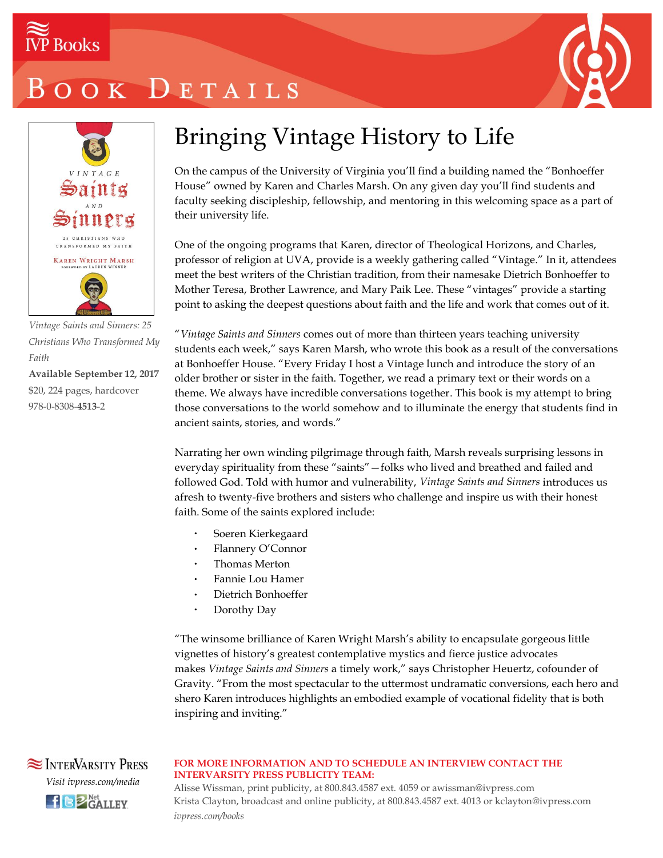

## OOK DETAILS



*Vintage Saints and Sinners: 25 Christians Who Transformed My Faith*

**Available September 12, 2017** \$20, 224 pages, hardcover 978-0-8308-**4513**-2

### Bringing Vintage History to Life

On the campus of the University of Virginia you'll find a building named the "Bonhoeffer House" owned by Karen and Charles Marsh. On any given day you'll find students and faculty seeking discipleship, fellowship, and mentoring in this welcoming space as a part of their university life.

One of the ongoing programs that Karen, director of Theological Horizons, and Charles, professor of religion at UVA, provide is a weekly gathering called "Vintage." In it, attendees meet the best writers of the Christian tradition, from their namesake Dietrich Bonhoeffer to Mother Teresa, Brother Lawrence, and Mary Paik Lee. These "vintages" provide a starting point to asking the deepest questions about faith and the life and work that comes out of it.

"*Vintage Saints and Sinners* comes out of more than thirteen years teaching university students each week," says Karen Marsh, who wrote this book as a result of the conversations at Bonhoeffer House. "Every Friday I host a Vintage lunch and introduce the story of an older brother or sister in the faith. Together, we read a primary text or their words on a theme. We always have incredible conversations together. This book is my attempt to bring those conversations to the world somehow and to illuminate the energy that students find in ancient saints, stories, and words."

Narrating her own winding pilgrimage through faith, Marsh reveals surprising lessons in everyday spirituality from these "saints"—folks who lived and breathed and failed and followed God. Told with humor and vulnerability, *Vintage Saints and Sinners* introduces us afresh to twenty-five brothers and sisters who challenge and inspire us with their honest faith. Some of the saints explored include:

- Soeren Kierkegaard
- Flannery O'Connor
- Thomas Merton
- Fannie Lou Hamer
- Dietrich Bonhoeffer
- Dorothy Day

"The winsome brilliance of Karen Wright Marsh's ability to encapsulate gorgeous little vignettes of history's greatest contemplative mystics and fierce justice advocates makes *Vintage Saints and Sinners* a timely work," says Christopher Heuertz, cofounder of Gravity. "From the most spectacular to the uttermost undramatic conversions, each hero and shero Karen introduces highlights an embodied example of vocational fidelity that is both inspiring and inviting."

### **NETERVARSITY PRESS** *Visit ivpress.com/media*  $H$  $B$ <sup>Net</sup> GALLEY

#### **FOR MORE INFORMATION AND TO SCHEDULE AN INTERVIEW CONTACT THE INTERVARSITY PRESS PUBLICITY TEAM:**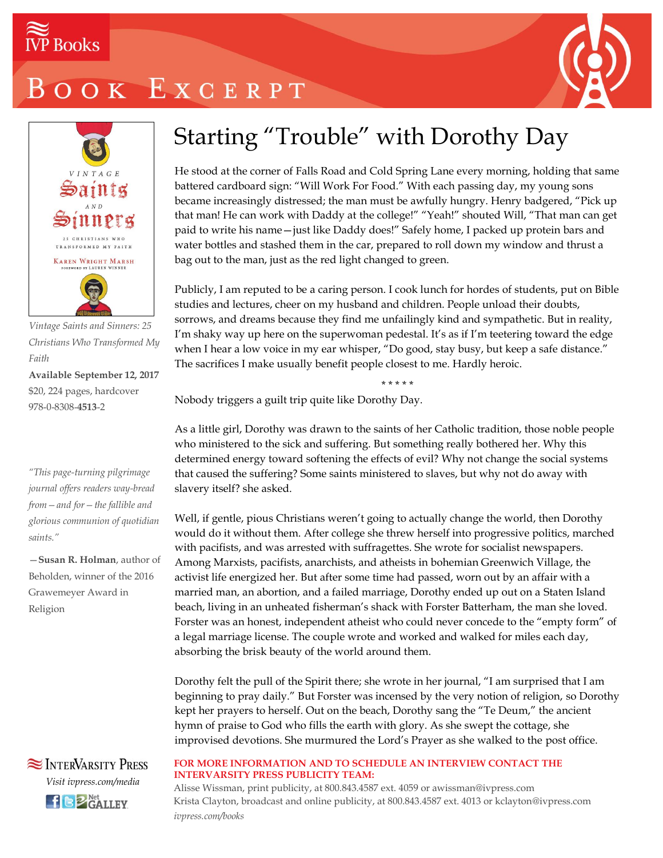



*Vintage Saints and Sinners: 25 Christians Who Transformed My Faith*

**Available September 12, 2017** \$20, 224 pages, hardcover 978-0-8308-**4513**-2

*"This page-turning pilgrimage journal offers readers way-bread from—and for—the fallible and glorious communion of quotidian saints."*

—**Susan R. Holman**, author of Beholden, winner of the 2016 Grawemeyer Award in Religion



### Starting "Trouble" with Dorothy Day

He stood at the corner of Falls Road and Cold Spring Lane every morning, holding that same battered cardboard sign: "Will Work For Food." With each passing day, my young sons became increasingly distressed; the man must be awfully hungry. Henry badgered, "Pick up that man! He can work with Daddy at the college!" "Yeah!" shouted Will, "That man can get paid to write his name—just like Daddy does!" Safely home, I packed up protein bars and water bottles and stashed them in the car, prepared to roll down my window and thrust a bag out to the man, just as the red light changed to green.

Publicly, I am reputed to be a caring person. I cook lunch for hordes of students, put on Bible studies and lectures, cheer on my husband and children. People unload their doubts, sorrows, and dreams because they find me unfailingly kind and sympathetic. But in reality, I'm shaky way up here on the superwoman pedestal. It's as if I'm teetering toward the edge when I hear a low voice in my ear whisper, "Do good, stay busy, but keep a safe distance." The sacrifices I make usually benefit people closest to me. Hardly heroic.

\* \* \* \* \*

Nobody triggers a guilt trip quite like Dorothy Day.

As a little girl, Dorothy was drawn to the saints of her Catholic tradition, those noble people who ministered to the sick and suffering. But something really bothered her. Why this determined energy toward softening the effects of evil? Why not change the social systems that caused the suffering? Some saints ministered to slaves, but why not do away with slavery itself? she asked.

Well, if gentle, pious Christians weren't going to actually change the world, then Dorothy would do it without them. After college she threw herself into progressive politics, marched with pacifists, and was arrested with suffragettes. She wrote for socialist newspapers. Among Marxists, pacifists, anarchists, and atheists in bohemian Greenwich Village, the activist life energized her. But after some time had passed, worn out by an affair with a married man, an abortion, and a failed marriage, Dorothy ended up out on a Staten Island beach, living in an unheated fisherman's shack with Forster Batterham, the man she loved. Forster was an honest, independent atheist who could never concede to the "empty form" of a legal marriage license. The couple wrote and worked and walked for miles each day, absorbing the brisk beauty of the world around them.

Dorothy felt the pull of the Spirit there; she wrote in her journal, "I am surprised that I am beginning to pray daily." But Forster was incensed by the very notion of religion, so Dorothy kept her prayers to herself. Out on the beach, Dorothy sang the "Te Deum," the ancient hymn of praise to God who fills the earth with glory. As she swept the cottage, she improvised devotions. She murmured the Lord's Prayer as she walked to the post office.

#### **FOR MORE INFORMATION AND TO SCHEDULE AN INTERVIEW CONTACT THE INTERVARSITY PRESS PUBLICITY TEAM:**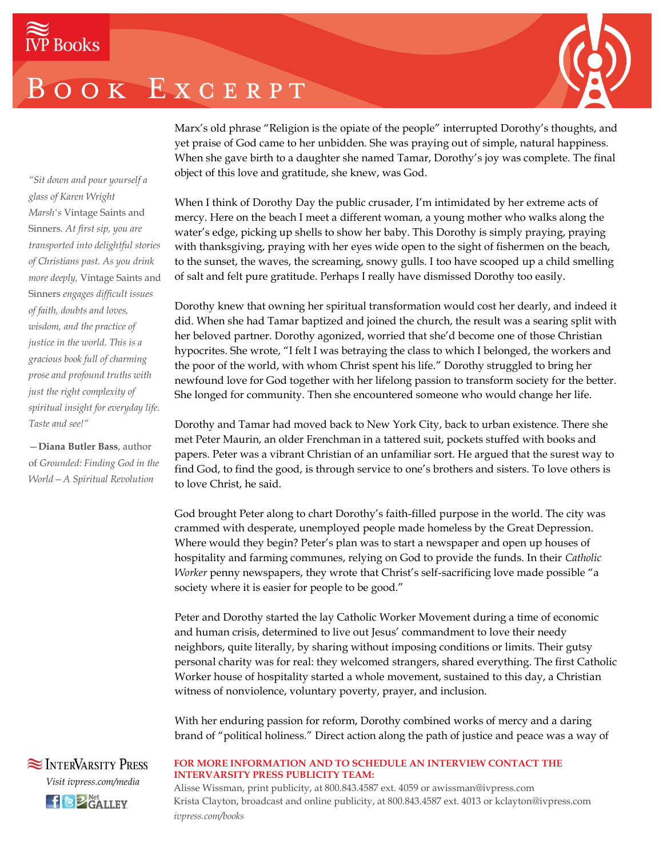

Marx's old phrase "Religion is the opiate of the people" interrupted Dorothy's thoughts, and yet praise of God came to her unbidden. She was praying out of simple, natural happiness. When she gave birth to a daughter she named Tamar, Dorothy's joy was complete. The final object of this love and gratitude, she knew, was God.

When I think of Dorothy Day the public crusader, I'm intimidated by her extreme acts of mercy. Here on the beach I meet a different woman, a young mother who walks along the water's edge, picking up shells to show her baby. This Dorothy is simply praying, praying with thanksgiving, praying with her eyes wide open to the sight of fishermen on the beach, to the sunset, the waves, the screaming, snowy gulls. I too have scooped up a child smelling of salt and felt pure gratitude. Perhaps I really have dismissed Dorothy too easily.

Dorothy knew that owning her spiritual transformation would cost her dearly, and indeed it did. When she had Tamar baptized and joined the church, the result was a searing split with her beloved partner. Dorothy agonized, worried that she'd become one of those Christian hypocrites. She wrote, "I felt I was betraying the class to which I belonged, the workers and the poor of the world, with whom Christ spent his life." Dorothy struggled to bring her newfound love for God together with her lifelong passion to transform society for the better. She longed for community. Then she encountered someone who would change her life.

Dorothy and Tamar had moved back to New York City, back to urban existence. There she met Peter Maurin, an older Frenchman in a tattered suit, pockets stuffed with books and papers. Peter was a vibrant Christian of an unfamiliar sort. He argued that the surest way to find God, to find the good, is through service to one's brothers and sisters. To love others is to love Christ, he said.

God brought Peter along to chart Dorothy's faith-filled purpose in the world. The city was crammed with desperate, unemployed people made homeless by the Great Depression. Where would they begin? Peter's plan was to start a newspaper and open up houses of hospitality and farming communes, relying on God to provide the funds. In their *Catholic Worker* penny newspapers, they wrote that Christ's self-sacrificing love made possible "a society where it is easier for people to be good."

Peter and Dorothy started the lay Catholic Worker Movement during a time of economic and human crisis, determined to live out Jesus' commandment to love their needy neighbors, quite literally, by sharing without imposing conditions or limits. Their gutsy personal charity was for real: they welcomed strangers, shared everything. The first Catholic Worker house of hospitality started a whole movement, sustained to this day, a Christian witness of nonviolence, voluntary poverty, prayer, and inclusion.

With her enduring passion for reform, Dorothy combined works of mercy and a daring brand of "political holiness." Direct action along the path of justice and peace was a way of

#### **FOR MORE INFORMATION AND TO SCHEDULE AN INTERVIEW CONTACT THE INTERVARSITY PRESS PUBLICITY TEAM:**

Alisse Wissman, print publicity, at 800.843.4587 ext. 4059 or awissman@ivpress.com Krista Clayton, broadcast and online publicity, at 800.843.4587 ext. 4013 or kclayton@ivpress.com *ivpress.com/books*

*"Sit down and pour yourself a glass of Karen Wright Marsh's* Vintage Saints and Sinners*. At first sip, you are transported into delightful stories of Christians past. As you drink more deeply,* Vintage Saints and Sinners *engages difficult issues of faith, doubts and loves, wisdom, and the practice of justice in the world. This is a gracious book full of charming prose and profound truths with just the right complexity of spiritual insight for everyday life. Taste and see!"*

—**Diana Butler Bass**, author of *Grounded: Finding God in the World—A Spiritual Revolution*

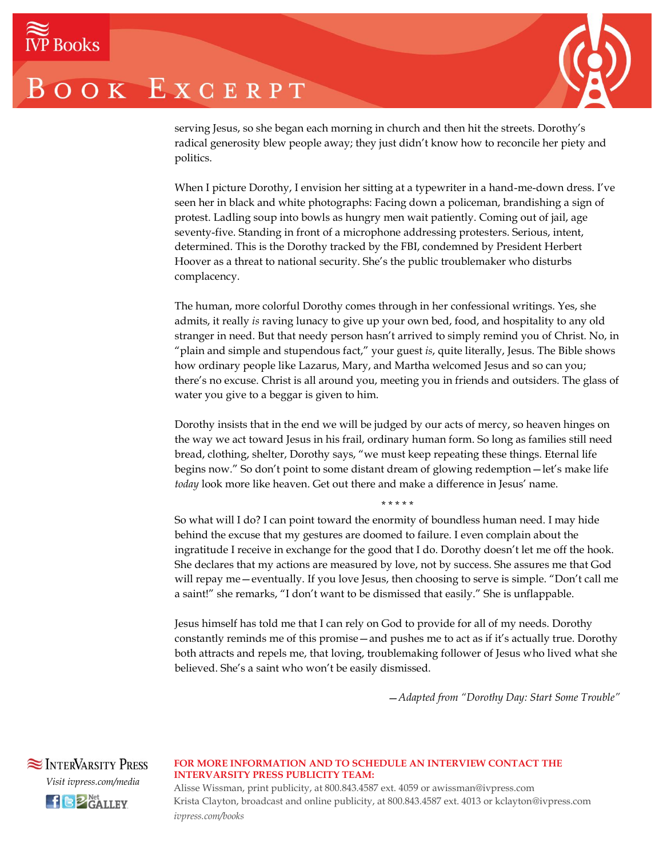

serving Jesus, so she began each morning in church and then hit the streets. Dorothy's radical generosity blew people away; they just didn't know how to reconcile her piety and politics.

When I picture Dorothy, I envision her sitting at a typewriter in a hand-me-down dress. I've seen her in black and white photographs: Facing down a policeman, brandishing a sign of protest. Ladling soup into bowls as hungry men wait patiently. Coming out of jail, age seventy-five. Standing in front of a microphone addressing protesters. Serious, intent, determined. This is the Dorothy tracked by the FBI, condemned by President Herbert Hoover as a threat to national security. She's the public troublemaker who disturbs complacency.

The human, more colorful Dorothy comes through in her confessional writings. Yes, she admits, it really *is* raving lunacy to give up your own bed, food, and hospitality to any old stranger in need. But that needy person hasn't arrived to simply remind you of Christ. No, in "plain and simple and stupendous fact," your guest *is*, quite literally, Jesus. The Bible shows how ordinary people like Lazarus, Mary, and Martha welcomed Jesus and so can you; there's no excuse. Christ is all around you, meeting you in friends and outsiders. The glass of water you give to a beggar is given to him.

Dorothy insists that in the end we will be judged by our acts of mercy, so heaven hinges on the way we act toward Jesus in his frail, ordinary human form. So long as families still need bread, clothing, shelter, Dorothy says, "we must keep repeating these things. Eternal life begins now." So don't point to some distant dream of glowing redemption—let's make life *today* look more like heaven. Get out there and make a difference in Jesus' name.

So what will I do? I can point toward the enormity of boundless human need. I may hide behind the excuse that my gestures are doomed to failure. I even complain about the ingratitude I receive in exchange for the good that I do. Dorothy doesn't let me off the hook. She declares that my actions are measured by love, not by success. She assures me that God will repay me—eventually. If you love Jesus, then choosing to serve is simple. "Don't call me a saint!" she remarks, "I don't want to be dismissed that easily." She is unflappable.

\* \* \* \* \*

Jesus himself has told me that I can rely on God to provide for all of my needs. Dorothy constantly reminds me of this promise—and pushes me to act as if it's actually true. Dorothy both attracts and repels me, that loving, troublemaking follower of Jesus who lived what she believed. She's a saint who won't be easily dismissed.

—*Adapted from "Dorothy Day: Start Some Trouble"*



#### **FOR MORE INFORMATION AND TO SCHEDULE AN INTERVIEW CONTACT THE INTERVARSITY PRESS PUBLICITY TEAM:**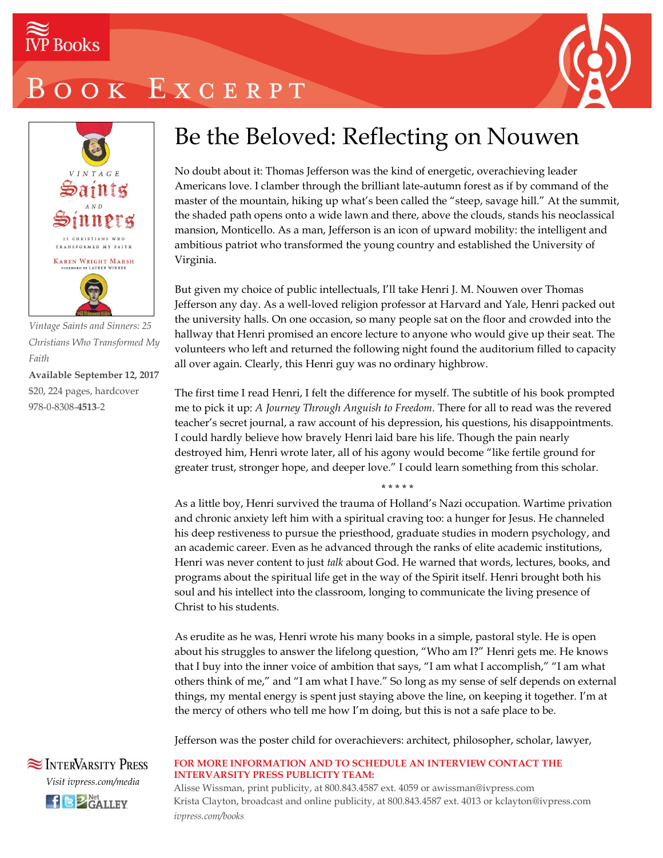



*Vintage Saints and Sinners: 25 Christians Who Transformed My Faith*

**Available September 12, 2017** \$20, 224 pages, hardcover 978-0-8308-**4513**-2

### Be the Beloved: Reflecting on Nouwen

No doubt about it: Thomas Jefferson was the kind of energetic, overachieving leader Americans love. I clamber through the brilliant late-autumn forest as if by command of the master of the mountain, hiking up what's been called the "steep, savage hill." At the summit, the shaded path opens onto a wide lawn and there, above the clouds, stands his neoclassical mansion, Monticello. As a man, Jefferson is an icon of upward mobility: the intelligent and ambitious patriot who transformed the young country and established the University of Virginia.

But given my choice of public intellectuals, I'll take Henri J. M. Nouwen over Thomas Jefferson any day. As a well-loved religion professor at Harvard and Yale, Henri packed out the university halls. On one occasion, so many people sat on the floor and crowded into the hallway that Henri promised an encore lecture to anyone who would give up their seat. The volunteers who left and returned the following night found the auditorium filled to capacity all over again. Clearly, this Henri guy was no ordinary highbrow.

The first time I read Henri, I felt the difference for myself. The subtitle of his book prompted me to pick it up: *A Journey Through Anguish to Freedom*. There for all to read was the revered teacher's secret journal, a raw account of his depression, his questions, his disappointments. I could hardly believe how bravely Henri laid bare his life. Though the pain nearly destroyed him, Henri wrote later, all of his agony would become "like fertile ground for greater trust, stronger hope, and deeper love." I could learn something from this scholar.

\* \* \* \* \*

As a little boy, Henri survived the trauma of Holland's Nazi occupation. Wartime privation and chronic anxiety left him with a spiritual craving too: a hunger for Jesus. He channeled his deep restiveness to pursue the priesthood, graduate studies in modern psychology, and an academic career. Even as he advanced through the ranks of elite academic institutions, Henri was never content to just *talk* about God. He warned that words, lectures, books, and programs about the spiritual life get in the way of the Spirit itself. Henri brought both his soul and his intellect into the classroom, longing to communicate the living presence of Christ to his students.

As erudite as he was, Henri wrote his many books in a simple, pastoral style. He is open about his struggles to answer the lifelong question, "Who am I?" Henri gets me. He knows that I buy into the inner voice of ambition that says, "I am what I accomplish," "I am what others think of me," and "I am what I have." So long as my sense of self depends on external things, my mental energy is spent just staying above the line, on keeping it together. I'm at the mercy of others who tell me how I'm doing, but this is not a safe place to be.

Jefferson was the poster child for overachievers: architect, philosopher, scholar, lawyer,

**SEX INTERVARSITY PRESS** *Visit ivpress.com/media*  $H \bigotimes_{GALLEY}^{Net}$ 

#### **FOR MORE INFORMATION AND TO SCHEDULE AN INTERVIEW CONTACT THE INTERVARSITY PRESS PUBLICITY TEAM:**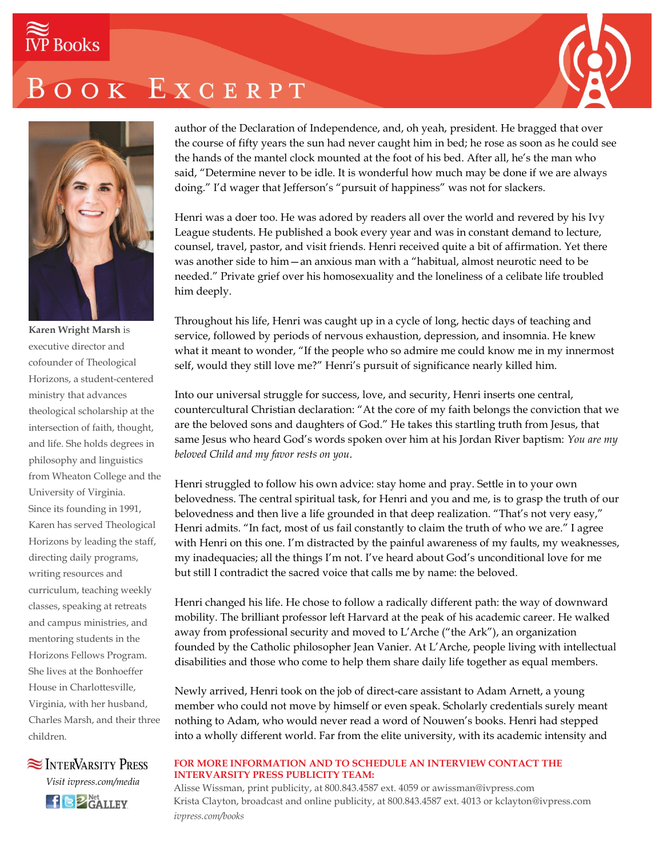# **IVP** Books

### BOOK EXCERPT





**Karen Wright Marsh** is executive director and cofounder of Theological Horizons, a student-centered ministry that advances theological scholarship at the intersection of faith, thought, and life. She holds degrees in philosophy and linguistics from Wheaton College and the University of Virginia. Since its founding in 1991, Karen has served Theological Horizons by leading the staff, directing daily programs, writing resources and curriculum, teaching weekly classes, speaking at retreats and campus ministries, and mentoring students in the Horizons Fellows Program. She lives at the Bonhoeffer House in Charlottesville, Virginia, with her husband, Charles Marsh, and their three children.



author of the Declaration of Independence, and, oh yeah, president*.* He bragged that over the course of fifty years the sun had never caught him in bed; he rose as soon as he could see the hands of the mantel clock mounted at the foot of his bed. After all, he's the man who said, "Determine never to be idle. It is wonderful how much may be done if we are always doing." I'd wager that Jefferson's "pursuit of happiness" was not for slackers.

Henri was a doer too. He was adored by readers all over the world and revered by his Ivy League students. He published a book every year and was in constant demand to lecture, counsel, travel, pastor, and visit friends. Henri received quite a bit of affirmation. Yet there was another side to him—an anxious man with a "habitual, almost neurotic need to be needed." Private grief over his homosexuality and the loneliness of a celibate life troubled him deeply.

Throughout his life, Henri was caught up in a cycle of long, hectic days of teaching and service, followed by periods of nervous exhaustion, depression, and insomnia. He knew what it meant to wonder, "If the people who so admire me could know me in my innermost self, would they still love me?" Henri's pursuit of significance nearly killed him.

Into our universal struggle for success, love, and security, Henri inserts one central, countercultural Christian declaration: "At the core of my faith belongs the conviction that we are the beloved sons and daughters of God." He takes this startling truth from Jesus, that same Jesus who heard God's words spoken over him at his Jordan River baptism: *You are my beloved Child and my favor rests on you*.

Henri struggled to follow his own advice: stay home and pray. Settle in to your own belovedness. The central spiritual task, for Henri and you and me, is to grasp the truth of our belovedness and then live a life grounded in that deep realization. "That's not very easy," Henri admits. "In fact, most of us fail constantly to claim the truth of who we are." I agree with Henri on this one. I'm distracted by the painful awareness of my faults, my weaknesses, my inadequacies; all the things I'm not. I've heard about God's unconditional love for me but still I contradict the sacred voice that calls me by name: the beloved.

Henri changed his life. He chose to follow a radically different path: the way of downward mobility. The brilliant professor left Harvard at the peak of his academic career. He walked away from professional security and moved to L'Arche ("the Ark"), an organization founded by the Catholic philosopher Jean Vanier. At L'Arche, people living with intellectual disabilities and those who come to help them share daily life together as equal members.

Newly arrived, Henri took on the job of direct-care assistant to Adam Arnett, a young member who could not move by himself or even speak. Scholarly credentials surely meant nothing to Adam, who would never read a word of Nouwen's books. Henri had stepped into a wholly different world. Far from the elite university, with its academic intensity and

#### **FOR MORE INFORMATION AND TO SCHEDULE AN INTERVIEW CONTACT THE INTERVARSITY PRESS PUBLICITY TEAM:**